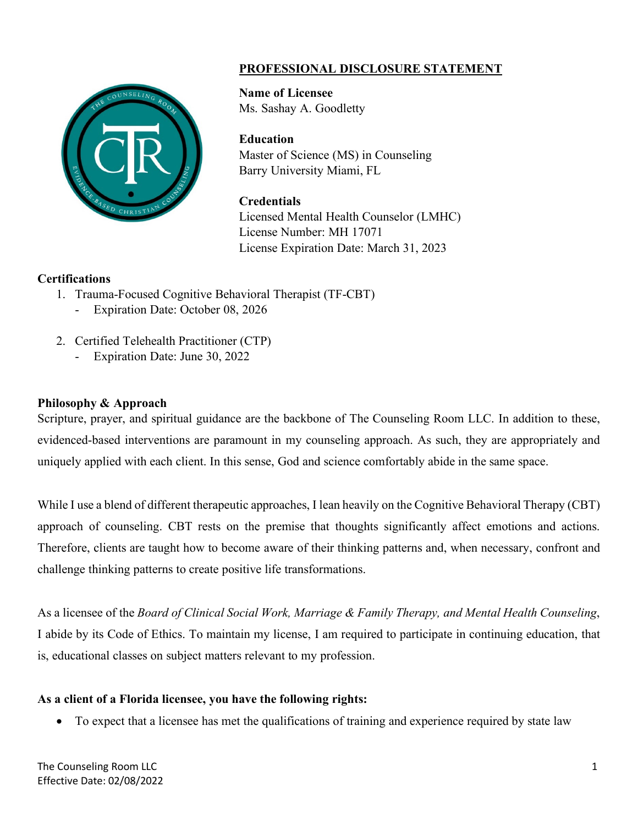

# **PROFESSIONAL DISCLOSURE STATEMENT**

**Name of Licensee** Ms. Sashay A. Goodletty

#### **Education**

Master of Science (MS) in Counseling Barry University Miami, FL

#### **Credentials**

Licensed Mental Health Counselor (LMHC) License Number: MH 17071 License Expiration Date: March 31, 2023

#### **Certifications**

- 1. Trauma-Focused Cognitive Behavioral Therapist (TF-CBT)
	- Expiration Date: October 08, 2026
- 2. Certified Telehealth Practitioner (CTP)
	- Expiration Date: June 30, 2022

### **Philosophy & Approach**

Scripture, prayer, and spiritual guidance are the backbone of The Counseling Room LLC. In addition to these, evidenced-based interventions are paramount in my counseling approach. As such, they are appropriately and uniquely applied with each client. In this sense, God and science comfortably abide in the same space.

While I use a blend of different therapeutic approaches, I lean heavily on the Cognitive Behavioral Therapy (CBT) approach of counseling. CBT rests on the premise that thoughts significantly affect emotions and actions. Therefore, clients are taught how to become aware of their thinking patterns and, when necessary, confront and challenge thinking patterns to create positive life transformations.

As a licensee of the *Board of Clinical Social Work, Marriage & Family Therapy, and Mental Health Counseling*, I abide by its Code of Ethics. To maintain my license, I am required to participate in continuing education, that is, educational classes on subject matters relevant to my profession.

## **As a client of a Florida licensee, you have the following rights:**

• To expect that a licensee has met the qualifications of training and experience required by state law